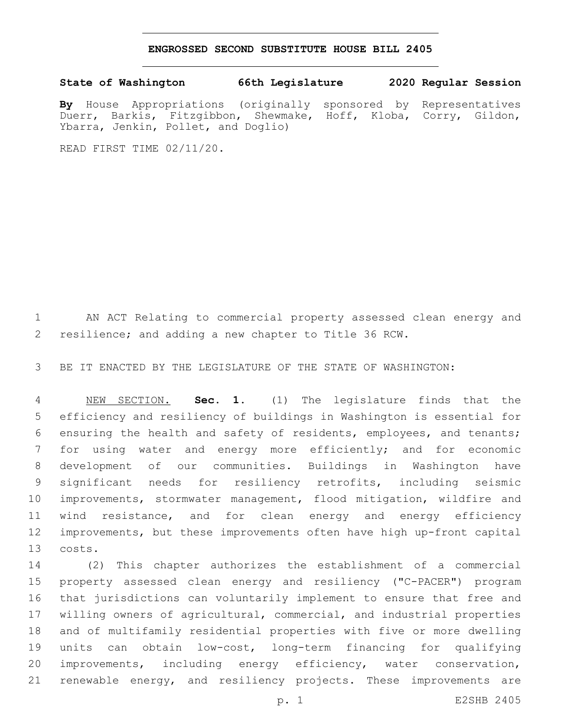## **ENGROSSED SECOND SUBSTITUTE HOUSE BILL 2405**

## **State of Washington 66th Legislature 2020 Regular Session**

**By** House Appropriations (originally sponsored by Representatives Duerr, Barkis, Fitzgibbon, Shewmake, Hoff, Kloba, Corry, Gildon, Ybarra, Jenkin, Pollet, and Doglio)

READ FIRST TIME 02/11/20.

 AN ACT Relating to commercial property assessed clean energy and resilience; and adding a new chapter to Title 36 RCW.

BE IT ENACTED BY THE LEGISLATURE OF THE STATE OF WASHINGTON:

 NEW SECTION. **Sec. 1.** (1) The legislature finds that the efficiency and resiliency of buildings in Washington is essential for ensuring the health and safety of residents, employees, and tenants; for using water and energy more efficiently; and for economic development of our communities. Buildings in Washington have significant needs for resiliency retrofits, including seismic improvements, stormwater management, flood mitigation, wildfire and wind resistance, and for clean energy and energy efficiency improvements, but these improvements often have high up-front capital costs.

 (2) This chapter authorizes the establishment of a commercial property assessed clean energy and resiliency ("C-PACER") program that jurisdictions can voluntarily implement to ensure that free and willing owners of agricultural, commercial, and industrial properties and of multifamily residential properties with five or more dwelling units can obtain low-cost, long-term financing for qualifying improvements, including energy efficiency, water conservation, renewable energy, and resiliency projects. These improvements are

p. 1 E2SHB 2405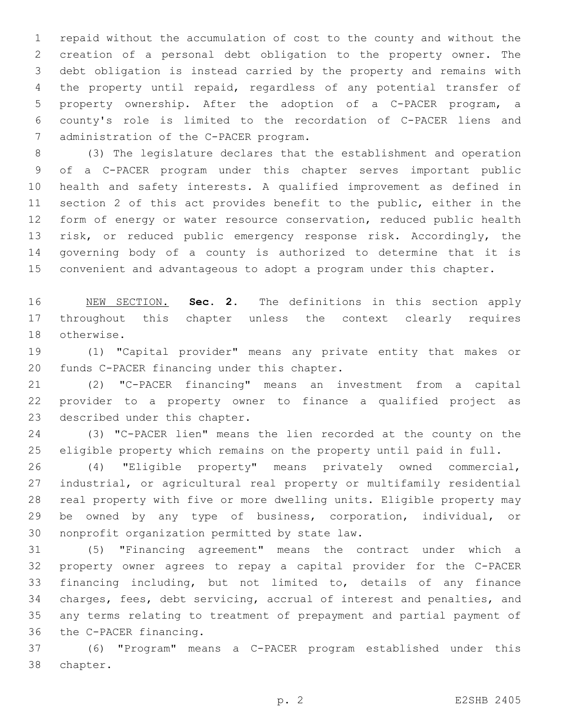repaid without the accumulation of cost to the county and without the creation of a personal debt obligation to the property owner. The debt obligation is instead carried by the property and remains with the property until repaid, regardless of any potential transfer of property ownership. After the adoption of a C-PACER program, a county's role is limited to the recordation of C-PACER liens and 7 administration of the C-PACER program.

 (3) The legislature declares that the establishment and operation of a C-PACER program under this chapter serves important public health and safety interests. A qualified improvement as defined in section 2 of this act provides benefit to the public, either in the form of energy or water resource conservation, reduced public health risk, or reduced public emergency response risk. Accordingly, the governing body of a county is authorized to determine that it is convenient and advantageous to adopt a program under this chapter.

 NEW SECTION. **Sec. 2.** The definitions in this section apply throughout this chapter unless the context clearly requires otherwise.

 (1) "Capital provider" means any private entity that makes or 20 funds C-PACER financing under this chapter.

 (2) "C-PACER financing" means an investment from a capital provider to a property owner to finance a qualified project as 23 described under this chapter.

 (3) "C-PACER lien" means the lien recorded at the county on the eligible property which remains on the property until paid in full.

 (4) "Eligible property" means privately owned commercial, industrial, or agricultural real property or multifamily residential real property with five or more dwelling units. Eligible property may be owned by any type of business, corporation, individual, or 30 nonprofit organization permitted by state law.

 (5) "Financing agreement" means the contract under which a property owner agrees to repay a capital provider for the C-PACER financing including, but not limited to, details of any finance charges, fees, debt servicing, accrual of interest and penalties, and any terms relating to treatment of prepayment and partial payment of 36 the C-PACER financing.

 (6) "Program" means a C-PACER program established under this 38 chapter.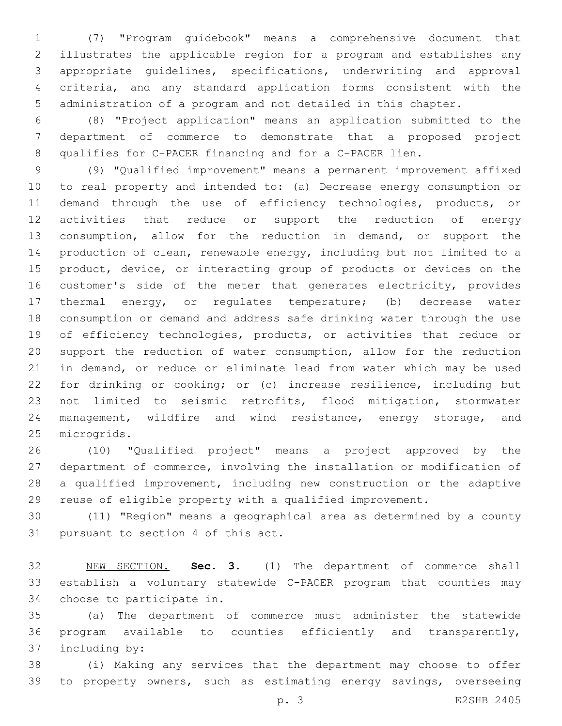(7) "Program guidebook" means a comprehensive document that illustrates the applicable region for a program and establishes any appropriate guidelines, specifications, underwriting and approval criteria, and any standard application forms consistent with the administration of a program and not detailed in this chapter.

 (8) "Project application" means an application submitted to the department of commerce to demonstrate that a proposed project qualifies for C-PACER financing and for a C-PACER lien.

 (9) "Qualified improvement" means a permanent improvement affixed to real property and intended to: (a) Decrease energy consumption or demand through the use of efficiency technologies, products, or activities that reduce or support the reduction of energy consumption, allow for the reduction in demand, or support the production of clean, renewable energy, including but not limited to a product, device, or interacting group of products or devices on the customer's side of the meter that generates electricity, provides thermal energy, or regulates temperature; (b) decrease water consumption or demand and address safe drinking water through the use 19 of efficiency technologies, products, or activities that reduce or support the reduction of water consumption, allow for the reduction in demand, or reduce or eliminate lead from water which may be used for drinking or cooking; or (c) increase resilience, including but not limited to seismic retrofits, flood mitigation, stormwater management, wildfire and wind resistance, energy storage, and 25 microgrids.

 (10) "Qualified project" means a project approved by the department of commerce, involving the installation or modification of a qualified improvement, including new construction or the adaptive reuse of eligible property with a qualified improvement.

 (11) "Region" means a geographical area as determined by a county 31 pursuant to section 4 of this act.

 NEW SECTION. **Sec. 3.** (1) The department of commerce shall establish a voluntary statewide C-PACER program that counties may choose to participate in.

 (a) The department of commerce must administer the statewide program available to counties efficiently and transparently, 37 including by:

 (i) Making any services that the department may choose to offer to property owners, such as estimating energy savings, overseeing

p. 3 E2SHB 2405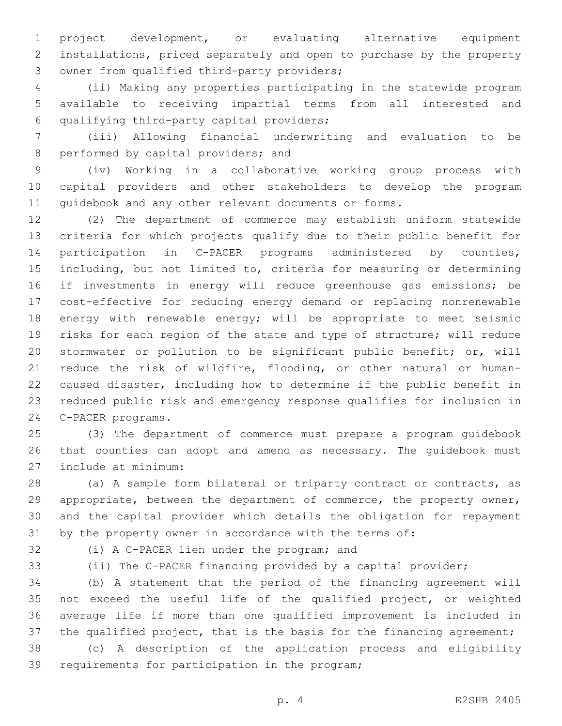project development, or evaluating alternative equipment installations, priced separately and open to purchase by the property 3 owner from qualified third-party providers;

 (ii) Making any properties participating in the statewide program available to receiving impartial terms from all interested and qualifying third-party capital providers;6

 (iii) Allowing financial underwriting and evaluation to be 8 performed by capital providers; and

 (iv) Working in a collaborative working group process with capital providers and other stakeholders to develop the program guidebook and any other relevant documents or forms.

 (2) The department of commerce may establish uniform statewide criteria for which projects qualify due to their public benefit for participation in C-PACER programs administered by counties, including, but not limited to, criteria for measuring or determining if investments in energy will reduce greenhouse gas emissions; be cost-effective for reducing energy demand or replacing nonrenewable energy with renewable energy; will be appropriate to meet seismic risks for each region of the state and type of structure; will reduce stormwater or pollution to be significant public benefit; or, will reduce the risk of wildfire, flooding, or other natural or human- caused disaster, including how to determine if the public benefit in reduced public risk and emergency response qualifies for inclusion in 24 C-PACER programs.

 (3) The department of commerce must prepare a program guidebook that counties can adopt and amend as necessary. The guidebook must include at minimum:27

28 (a) A sample form bilateral or triparty contract or contracts, as appropriate, between the department of commerce, the property owner, and the capital provider which details the obligation for repayment by the property owner in accordance with the terms of:

32 (i) A C-PACER lien under the program; and

(ii) The C-PACER financing provided by a capital provider;

 (b) A statement that the period of the financing agreement will not exceed the useful life of the qualified project, or weighted average life if more than one qualified improvement is included in 37 the qualified project, that is the basis for the financing agreement;

 (c) A description of the application process and eligibility 39 requirements for participation in the program;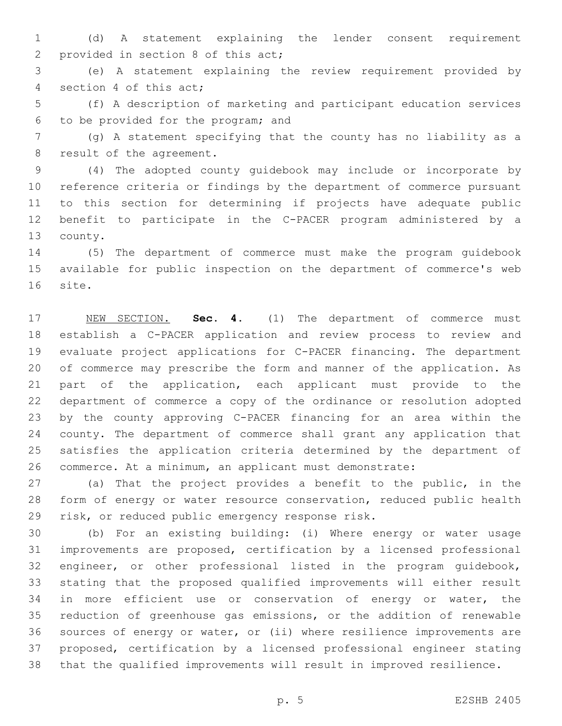(d) A statement explaining the lender consent requirement 2 provided in section 8 of this act;

 (e) A statement explaining the review requirement provided by 4 section 4 of this act;

 (f) A description of marketing and participant education services to be provided for the program; and6

 (g) A statement specifying that the county has no liability as a 8 result of the agreement.

 (4) The adopted county guidebook may include or incorporate by reference criteria or findings by the department of commerce pursuant to this section for determining if projects have adequate public benefit to participate in the C-PACER program administered by a 13 county.

 (5) The department of commerce must make the program guidebook available for public inspection on the department of commerce's web 16 site.

 NEW SECTION. **Sec. 4.** (1) The department of commerce must establish a C-PACER application and review process to review and evaluate project applications for C-PACER financing. The department of commerce may prescribe the form and manner of the application. As part of the application, each applicant must provide to the department of commerce a copy of the ordinance or resolution adopted by the county approving C-PACER financing for an area within the county. The department of commerce shall grant any application that satisfies the application criteria determined by the department of commerce. At a minimum, an applicant must demonstrate:

 (a) That the project provides a benefit to the public, in the form of energy or water resource conservation, reduced public health 29 risk, or reduced public emergency response risk.

 (b) For an existing building: (i) Where energy or water usage improvements are proposed, certification by a licensed professional engineer, or other professional listed in the program guidebook, stating that the proposed qualified improvements will either result 34 in more efficient use or conservation of energy or water, the reduction of greenhouse gas emissions, or the addition of renewable sources of energy or water, or (ii) where resilience improvements are proposed, certification by a licensed professional engineer stating that the qualified improvements will result in improved resilience.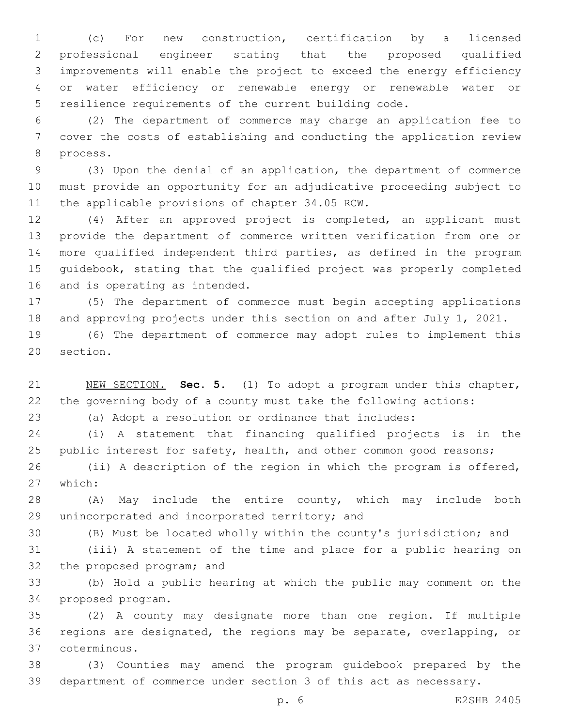(c) For new construction, certification by a licensed professional engineer stating that the proposed qualified improvements will enable the project to exceed the energy efficiency or water efficiency or renewable energy or renewable water or resilience requirements of the current building code.

 (2) The department of commerce may charge an application fee to cover the costs of establishing and conducting the application review 8 process.

 (3) Upon the denial of an application, the department of commerce must provide an opportunity for an adjudicative proceeding subject to 11 the applicable provisions of chapter 34.05 RCW.

 (4) After an approved project is completed, an applicant must provide the department of commerce written verification from one or more qualified independent third parties, as defined in the program guidebook, stating that the qualified project was properly completed 16 and is operating as intended.

 (5) The department of commerce must begin accepting applications and approving projects under this section on and after July 1, 2021.

 (6) The department of commerce may adopt rules to implement this 20 section.

 NEW SECTION. **Sec. 5.** (1) To adopt a program under this chapter, the governing body of a county must take the following actions:

(a) Adopt a resolution or ordinance that includes:

 (i) A statement that financing qualified projects is in the 25 public interest for safety, health, and other common good reasons;

 (ii) A description of the region in which the program is offered, 27 which:

 (A) May include the entire county, which may include both 29 unincorporated and incorporated territory; and

(B) Must be located wholly within the county's jurisdiction; and

 (iii) A statement of the time and place for a public hearing on 32 the proposed program; and

 (b) Hold a public hearing at which the public may comment on the 34 proposed program.

 (2) A county may designate more than one region. If multiple regions are designated, the regions may be separate, overlapping, or coterminous.37

 (3) Counties may amend the program guidebook prepared by the department of commerce under section 3 of this act as necessary.

p. 6 E2SHB 2405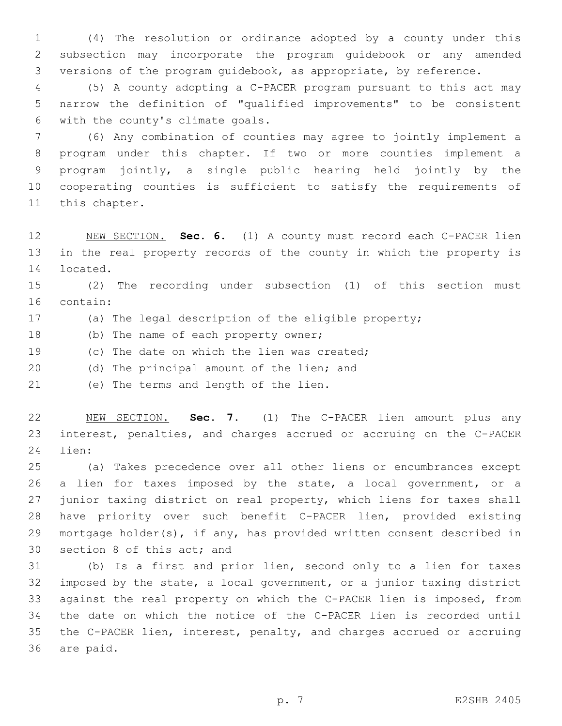(4) The resolution or ordinance adopted by a county under this subsection may incorporate the program guidebook or any amended versions of the program guidebook, as appropriate, by reference.

 (5) A county adopting a C-PACER program pursuant to this act may narrow the definition of "qualified improvements" to be consistent 6 with the county's climate goals.

 (6) Any combination of counties may agree to jointly implement a program under this chapter. If two or more counties implement a program jointly, a single public hearing held jointly by the cooperating counties is sufficient to satisfy the requirements of 11 this chapter.

 NEW SECTION. **Sec. 6.** (1) A county must record each C-PACER lien in the real property records of the county in which the property is located.

 (2) The recording under subsection (1) of this section must 16 contain:

- (a) The legal description of the eligible property;
- 18 (b) The name of each property owner;
- 19 (c) The date on which the lien was created;
- 20 (d) The principal amount of the lien; and

21 (e) The terms and length of the lien.

 NEW SECTION. **Sec. 7.** (1) The C-PACER lien amount plus any interest, penalties, and charges accrued or accruing on the C-PACER lien:

 (a) Takes precedence over all other liens or encumbrances except 26 a lien for taxes imposed by the state, a local government, or a junior taxing district on real property, which liens for taxes shall have priority over such benefit C-PACER lien, provided existing mortgage holder(s), if any, has provided written consent described in 30 section 8 of this act; and

 (b) Is a first and prior lien, second only to a lien for taxes imposed by the state, a local government, or a junior taxing district against the real property on which the C-PACER lien is imposed, from the date on which the notice of the C-PACER lien is recorded until the C-PACER lien, interest, penalty, and charges accrued or accruing 36 are paid.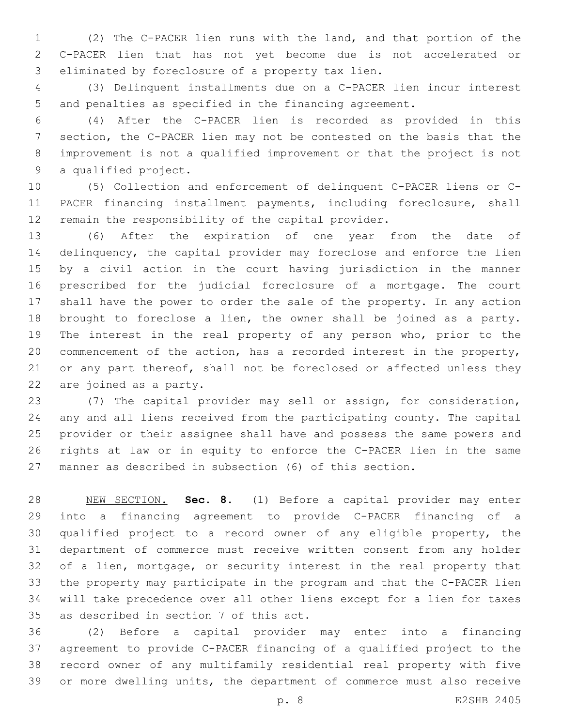(2) The C-PACER lien runs with the land, and that portion of the C-PACER lien that has not yet become due is not accelerated or 3 eliminated by foreclosure of a property tax lien.

 (3) Delinquent installments due on a C-PACER lien incur interest and penalties as specified in the financing agreement.

 (4) After the C-PACER lien is recorded as provided in this section, the C-PACER lien may not be contested on the basis that the improvement is not a qualified improvement or that the project is not 9 a qualified project.

 (5) Collection and enforcement of delinquent C-PACER liens or C- PACER financing installment payments, including foreclosure, shall remain the responsibility of the capital provider.

 (6) After the expiration of one year from the date of delinquency, the capital provider may foreclose and enforce the lien by a civil action in the court having jurisdiction in the manner prescribed for the judicial foreclosure of a mortgage. The court shall have the power to order the sale of the property. In any action brought to foreclose a lien, the owner shall be joined as a party. The interest in the real property of any person who, prior to the commencement of the action, has a recorded interest in the property, 21 or any part thereof, shall not be foreclosed or affected unless they 22 are joined as a party.

 (7) The capital provider may sell or assign, for consideration, any and all liens received from the participating county. The capital provider or their assignee shall have and possess the same powers and rights at law or in equity to enforce the C-PACER lien in the same manner as described in subsection (6) of this section.

 NEW SECTION. **Sec. 8.** (1) Before a capital provider may enter into a financing agreement to provide C-PACER financing of a qualified project to a record owner of any eligible property, the department of commerce must receive written consent from any holder of a lien, mortgage, or security interest in the real property that the property may participate in the program and that the C-PACER lien will take precedence over all other liens except for a lien for taxes as described in section 7 of this act.

 (2) Before a capital provider may enter into a financing agreement to provide C-PACER financing of a qualified project to the record owner of any multifamily residential real property with five or more dwelling units, the department of commerce must also receive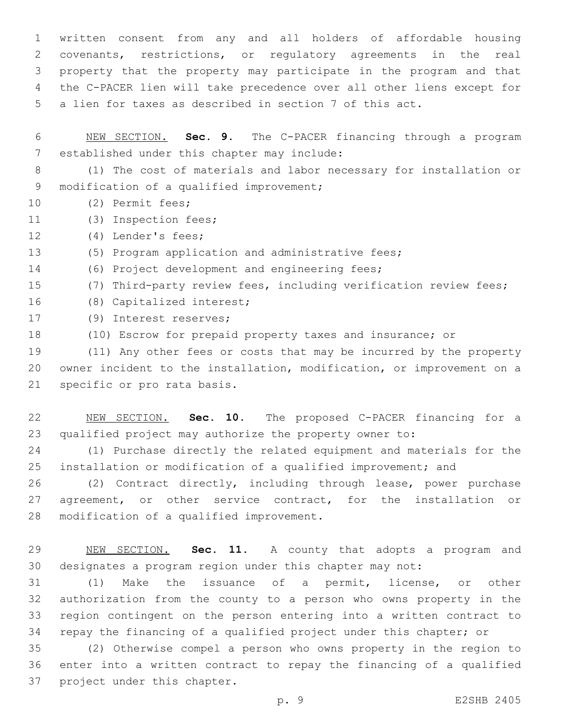written consent from any and all holders of affordable housing covenants, restrictions, or regulatory agreements in the real property that the property may participate in the program and that the C-PACER lien will take precedence over all other liens except for a lien for taxes as described in section 7 of this act.

 NEW SECTION. **Sec. 9.** The C-PACER financing through a program established under this chapter may include:

 (1) The cost of materials and labor necessary for installation or 9 modification of a qualified improvement;

- 10 (2) Permit fees;
- 11 (3) Inspection fees;

12 (4) Lender's fees;

(5) Program application and administrative fees;

- 14 (6) Project development and engineering fees;
- (7) Third-party review fees, including verification review fees;
- 16 (8) Capitalized interest;
- 17 (9) Interest reserves;
- (10) Escrow for prepaid property taxes and insurance; or

 (11) Any other fees or costs that may be incurred by the property owner incident to the installation, modification, or improvement on a 21 specific or pro rata basis.

 NEW SECTION. **Sec. 10.** The proposed C-PACER financing for a qualified project may authorize the property owner to:

 (1) Purchase directly the related equipment and materials for the installation or modification of a qualified improvement; and

 (2) Contract directly, including through lease, power purchase agreement, or other service contract, for the installation or 28 modification of a qualified improvement.

 NEW SECTION. **Sec. 11.** A county that adopts a program and designates a program region under this chapter may not:

 (1) Make the issuance of a permit, license, or other authorization from the county to a person who owns property in the region contingent on the person entering into a written contract to repay the financing of a qualified project under this chapter; or

 (2) Otherwise compel a person who owns property in the region to enter into a written contract to repay the financing of a qualified 37 project under this chapter.